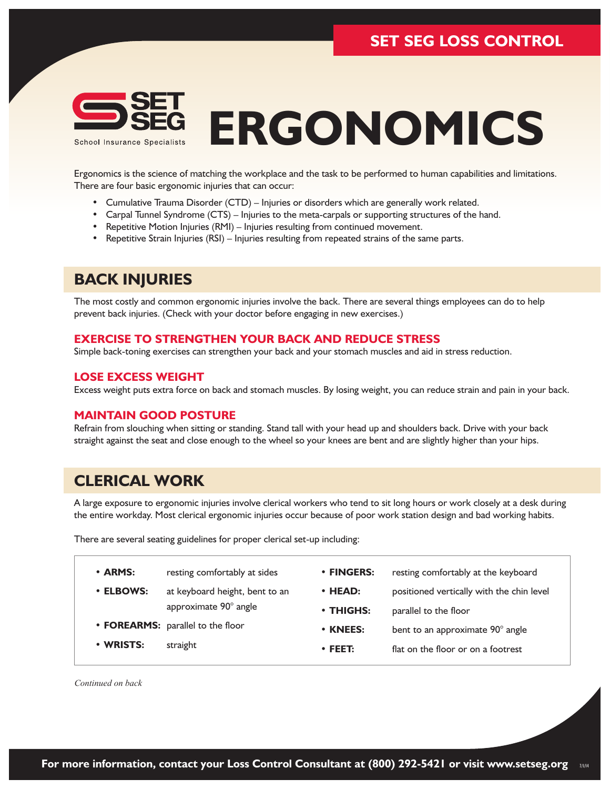

# **ERGONOMICS**

Ergonomics is the science of matching the workplace and the task to be performed to human capabilities and limitations. There are four basic ergonomic injuries that can occur:

- Cumulative Trauma Disorder (CTD) Injuries or disorders which are generally work related.
- Carpal Tunnel Syndrome (CTS) Injuries to the meta-carpals or supporting structures of the hand.
- Repetitive Motion Injuries (RMI) Injuries resulting from continued movement.
- Repetitive Strain Injuries (RSI) Injuries resulting from repeated strains of the same parts.

### **BACK INJURIES**

The most costly and common ergonomic injuries involve the back. There are several things employees can do to help prevent back injuries. (Check with your doctor before engaging in new exercises.)

#### **EXERCISE TO STRENGTHEN YOUR BACK AND REDUCE STRESS**

Simple back-toning exercises can strengthen your back and your stomach muscles and aid in stress reduction.

#### **LOSE EXCESS WEIGHT**

Excess weight puts extra force on back and stomach muscles. By losing weight, you can reduce strain and pain in your back.

#### **MAINTAIN GOOD POSTURE**

Refrain from slouching when sitting or standing. Stand tall with your head up and shoulders back. Drive with your back straight against the seat and close enough to the wheel so your knees are bent and are slightly higher than your hips.

## **CLERICAL WORK**

A large exposure to ergonomic injuries involve clerical workers who tend to sit long hours or work closely at a desk during the entire workday. Most clerical ergonomic injuries occur because of poor work station design and bad working habits.

There are several seating guidelines for proper clerical set-up including:

| · ARMS:   | resting comfortably at sides      | • FINGERS:      | resting comfortably at the keyboard       |
|-----------|-----------------------------------|-----------------|-------------------------------------------|
| • ELBOWS: | at keyboard height, bent to an    | $\cdot$ HEAD:   | positioned vertically with the chin level |
|           | approximate 90° angle             | $\cdot$ THIGHS: | parallel to the floor                     |
|           | • FOREARMS: parallel to the floor | • KNEES:        | bent to an approximate 90° angle          |
| • WRISTS: | straight                          | $\cdot$ FEET:   | flat on the floor or on a footrest        |
|           |                                   |                 |                                           |

*Continued on back*